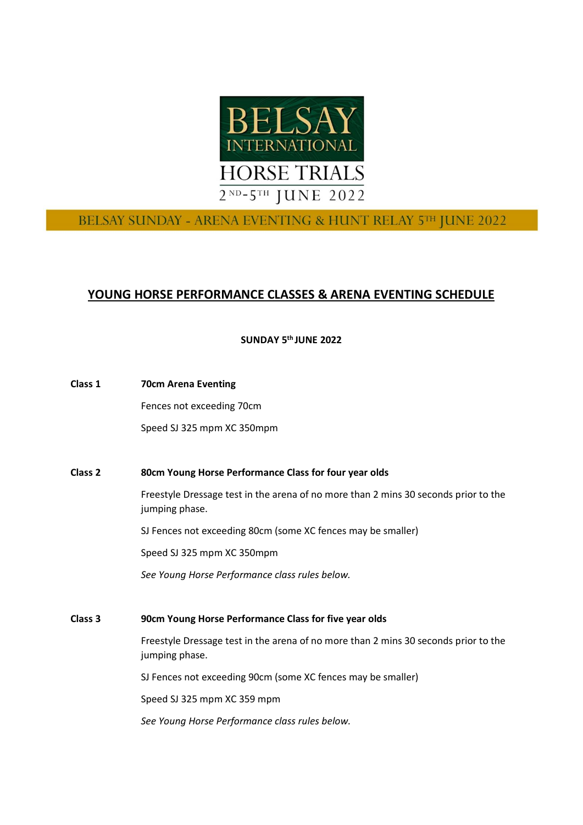

# BELSAY SUNDAY - ARENA EVENTING & HUNT RELAY 5TH JUNE 2022

# **YOUNG HORSE PERFORMANCE CLASSES & ARENA EVENTING SCHEDULE**

**SUNDAY 5 th JUNE 2022**

| Class 1 | <b>70cm Arena Eventing</b>                                                                            |
|---------|-------------------------------------------------------------------------------------------------------|
|         | Fences not exceeding 70cm                                                                             |
|         | Speed SJ 325 mpm XC 350mpm                                                                            |
|         |                                                                                                       |
| Class 2 | 80cm Young Horse Performance Class for four year olds                                                 |
|         | Freestyle Dressage test in the arena of no more than 2 mins 30 seconds prior to the<br>jumping phase. |
|         | SJ Fences not exceeding 80cm (some XC fences may be smaller)                                          |
|         | Speed SJ 325 mpm XC 350mpm                                                                            |
|         |                                                                                                       |

**Class 3 90cm Young Horse Performance Class for five year olds**

*See Young Horse Performance class rules below.*

Freestyle Dressage test in the arena of no more than 2 mins 30 seconds prior to the jumping phase.

SJ Fences not exceeding 90cm (some XC fences may be smaller)

Speed SJ 325 mpm XC 359 mpm

*See Young Horse Performance class rules below.*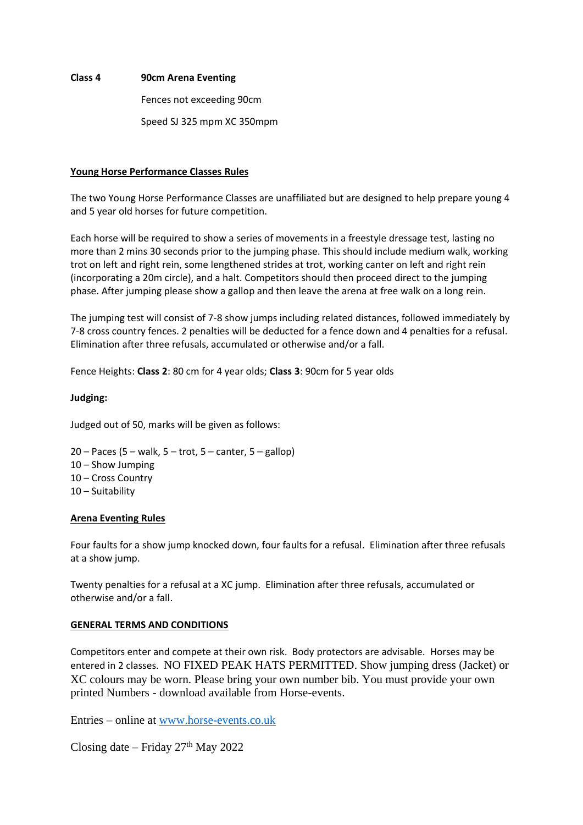#### **Class 4 90cm Arena Eventing**

Fences not exceeding 90cm

Speed SJ 325 mpm XC 350mpm

# **Young Horse Performance Classes Rules**

The two Young Horse Performance Classes are unaffiliated but are designed to help prepare young 4 and 5 year old horses for future competition.

Each horse will be required to show a series of movements in a freestyle dressage test, lasting no more than 2 mins 30 seconds prior to the jumping phase. This should include medium walk, working trot on left and right rein, some lengthened strides at trot, working canter on left and right rein (incorporating a 20m circle), and a halt. Competitors should then proceed direct to the jumping phase. After jumping please show a gallop and then leave the arena at free walk on a long rein.

The jumping test will consist of 7-8 show jumps including related distances, followed immediately by 7-8 cross country fences. 2 penalties will be deducted for a fence down and 4 penalties for a refusal. Elimination after three refusals, accumulated or otherwise and/or a fall.

Fence Heights: **Class 2**: 80 cm for 4 year olds; **Class 3**: 90cm for 5 year olds

# **Judging:**

Judged out of 50, marks will be given as follows:

 – Paces (5 – walk, 5 – trot, 5 – canter, 5 – gallop) – Show Jumping – Cross Country – Suitability

#### **Arena Eventing Rules**

Four faults for a show jump knocked down, four faults for a refusal. Elimination after three refusals at a show jump.

Twenty penalties for a refusal at a XC jump. Elimination after three refusals, accumulated or otherwise and/or a fall.

#### **GENERAL TERMS AND CONDITIONS**

Competitors enter and compete at their own risk. Body protectors are advisable. Horses may be entered in 2 classes. NO FIXED PEAK HATS PERMITTED. Show jumping dress (Jacket) or XC colours may be worn. Please bring your own number bib. You must provide your own printed Numbers - download available from Horse-events.

Entries – online at [www.horse-events.co.uk](http://www.horse-events.co.uk/)

Closing date  $-$  Friday 27<sup>th</sup> May 2022